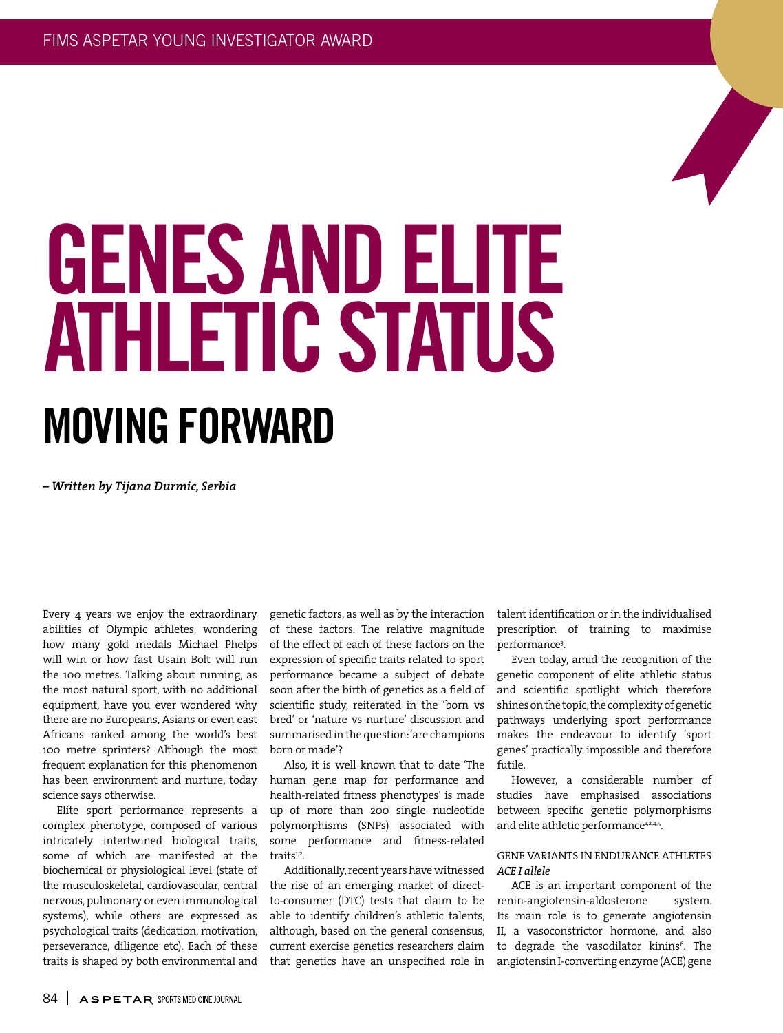# MOVING FORWARD GENES AND ELITE ATHLETIC STATUS

*– Written by Tijana Durmic, Serbia*

Every 4 years we enjoy the extraordinary abilities of Olympic athletes, wondering how many gold medals Michael Phelps will win or how fast Usain Bolt will run the 100 metres. Talking about running, as the most natural sport, with no additional equipment, have you ever wondered why there are no Europeans, Asians or even east Africans ranked among the world's best 100 metre sprinters? Although the most frequent explanation for this phenomenon has been environment and nurture, today science says otherwise.

Elite sport performance represents a complex phenotype, composed of various intricately intertwined biological traits, some of which are manifested at the biochemical or physiological level (state of the musculoskeletal, cardiovascular, central nervous, pulmonary or even immunological systems), while others are expressed as psychological traits (dedication, motivation, perseverance, diligence etc). Each of these traits is shaped by both environmental and

genetic factors, as well as by the interaction of these factors. The relative magnitude of the effect of each of these factors on the expression of specific traits related to sport performance became a subject of debate soon after the birth of genetics as a field of scientific study, reiterated in the 'born vs bred' or 'nature vs nurture' discussion and summarised in the question: 'are champions born or made'?

Also, it is well known that to date 'The human gene map for performance and health-related fitness phenotypes' is made up of more than 200 single nucleotide polymorphisms (SNPs) associated with some performance and fitness-related traits<sup>1,2</sup>.

Additionally, recent years have witnessed the rise of an emerging market of directto-consumer (DTC) tests that claim to be able to identify children's athletic talents, although, based on the general consensus, current exercise genetics researchers claim that genetics have an unspecified role in

talent identification or in the individualised prescription of training to maximise performance3 .

Even today, amid the recognition of the genetic component of elite athletic status and scientific spotlight which therefore shines on the topic, the complexity of genetic pathways underlying sport performance makes the endeavour to identify 'sport genes' practically impossible and therefore futile.

However, a considerable number of studies have emphasised associations between specific genetic polymorphisms and elite athletic performance<sup>1,2,4,5</sup>.

# GENE VARIANTS IN ENDURANCE ATHLETES *ACE I allele*

ACE is an important component of the renin-angiotensin-aldosterone system. Its main role is to generate angiotensin II, a vasoconstrictor hormone, and also to degrade the vasodilator kinins<sup>6</sup>. The angiotensin I-converting enzyme (ACE) gene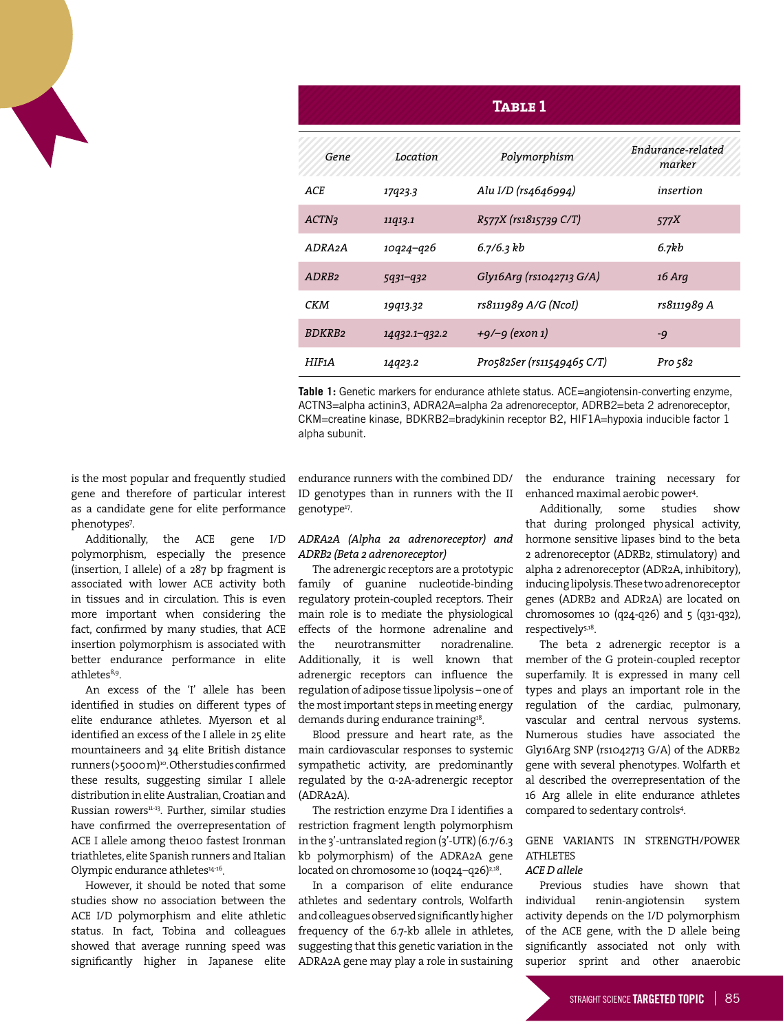| <b>TABLE 1</b>      |               |                            |                             |
|---------------------|---------------|----------------------------|-----------------------------|
| Gene                | Location      | Polymorphism               | Endurance-related<br>marker |
| ACE                 | 17923.3       | Alu I/D (rs4646994)        | insertion                   |
| ACTN <sub>3</sub>   | 11q13.1       | R577X (rs1815739 C/T)      | 577X                        |
| ADRA <sub>2</sub> A | 10q24–q26     | 6.7/6.3 kb                 | 6.7kb                       |
| ADRB <sub>2</sub>   | $5931 - 932$  | Gly16Arg (rs1042713 G/A)   | 16 Arg                      |
| CKM                 | 19913.32      | rs8111989 A/G (NcoI)       | rs8111989 A                 |
| <b>BDKRB2</b>       | 14932.1-932.2 | +9/–9 (exon 1)             | $-9$                        |
| HIF1A               | 14923.2       | Pro582Ser (rs11549465 C/T) | Pro 582                     |

**Table 1:** Genetic markers for endurance athlete status. ACE=angiotensin-converting enzyme, ACTN3=alpha actinin3, ADRA2A=alpha 2a adrenoreceptor, ADRB2=beta 2 adrenoreceptor, CKM=creatine kinase, BDKRB2=bradykinin receptor B2, HIF1A=hypoxia inducible factor 1 alpha subunit.

is the most popular and frequently studied gene and therefore of particular interest as a candidate gene for elite performance phenotypes7 .

Additionally, the ACE gene I/D polymorphism, especially the presence (insertion, I allele) of a 287 bp fragment is associated with lower ACE activity both in tissues and in circulation. This is even more important when considering the fact, confirmed by many studies, that ACE insertion polymorphism is associated with better endurance performance in elite athletes<sup>8,9</sup>.

An excess of the 'I' allele has been identified in studies on different types of elite endurance athletes. Myerson et al identified an excess of the I allele in 25 elite mountaineers and 34 elite British distance runners (>5000 m)10. Other studies confirmed these results, suggesting similar I allele distribution in elite Australian, Croatian and Russian rowers<sup>11-13</sup>. Further, similar studies have confirmed the overrepresentation of ACE I allele among the100 fastest Ironman triathletes, elite Spanish runners and Italian Olympic endurance athletes<sup>14-16</sup>.

However, it should be noted that some studies show no association between the ACE I/D polymorphism and elite athletic status. In fact, Tobina and colleagues showed that average running speed was significantly higher in Japanese elite endurance runners with the combined DD/ ID genotypes than in runners with the II genotype<sup>17</sup>.

# *ADRA2A (Alpha 2a adrenoreceptor) and ADRB2 (Beta 2 adrenoreceptor)*

The adrenergic receptors are a prototypic family of guanine nucleotide-binding regulatory protein-coupled receptors. Their main role is to mediate the physiological effects of the hormone adrenaline and the neurotransmitter noradrenaline. Additionally, it is well known that adrenergic receptors can influence the regulation of adipose tissue lipolysis – one of the most important steps in meeting energy demands during endurance training<sup>18</sup>.

Blood pressure and heart rate, as the main cardiovascular responses to systemic sympathetic activity, are predominantly regulated by the α-2A-adrenergic receptor (ADRA2A).

The restriction enzyme Dra I identifies a restriction fragment length polymorphism in the 3'-untranslated region (3'-UTR) (6.7/6.3 kb polymorphism) of the ADRA2A gene located on chromosome 10  $(10q24-q26)^{2,18}$ .

In a comparison of elite endurance athletes and sedentary controls, Wolfarth and colleagues observed significantly higher frequency of the 6.7-kb allele in athletes, suggesting that this genetic variation in the ADRA2A gene may play a role in sustaining

the endurance training necessary for enhanced maximal aerobic power4 .

Additionally, some studies show that during prolonged physical activity, hormone sensitive lipases bind to the beta 2 adrenoreceptor (ADRB2, stimulatory) and alpha 2 adrenoreceptor (ADR2A, inhibitory), inducing lipolysis. These two adrenoreceptor genes (ADRB2 and ADR2A) are located on chromosomes 10 (q24-q26) and 5 (q31-q32), respectively5,18.

The beta 2 adrenergic receptor is a member of the G protein-coupled receptor superfamily. It is expressed in many cell types and plays an important role in the regulation of the cardiac, pulmonary, vascular and central nervous systems. Numerous studies have associated the Gly16Arg SNP (rs1042713 G/A) of the ADRB2 gene with several phenotypes. Wolfarth et al described the overrepresentation of the 16 Arg allele in elite endurance athletes compared to sedentary controls4 .

## GENE VARIANTS IN STRENGTH/POWER ATHLETES *ACE D allele*

# Previous studies have shown that individual renin-angiotensin system activity depends on the I/D polymorphism of the ACE gene, with the D allele being significantly associated not only with superior sprint and other anaerobic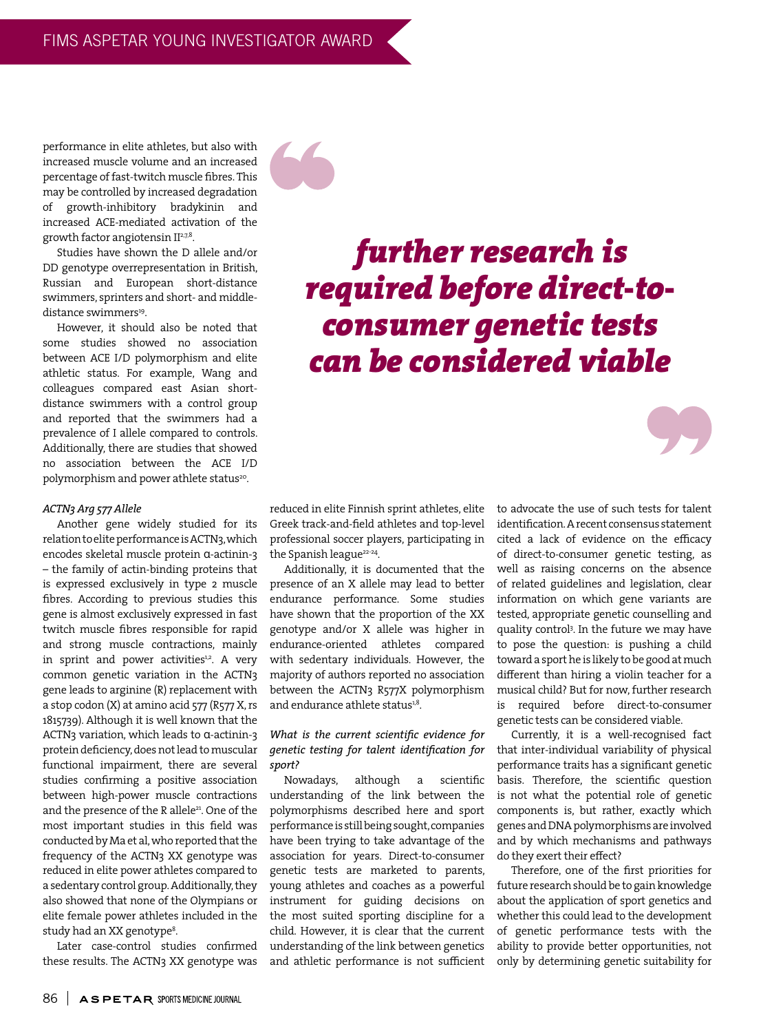performance in elite athletes, but also with increased muscle volume and an increased percentage of fast-twitch muscle fibres. This may be controlled by increased degradation of growth-inhibitory bradykinin and increased ACE-mediated activation of the growth factor angiotensin II<sup>2,7,8</sup>.

Studies have shown the D allele and/or DD genotype overrepresentation in British, Russian and European short-distance swimmers, sprinters and short- and middledistance swimmers<sup>19</sup>.

However, it should also be noted that some studies showed no association between ACE I/D polymorphism and elite athletic status. For example, Wang and colleagues compared east Asian shortdistance swimmers with a control group and reported that the swimmers had a prevalence of I allele compared to controls. Additionally, there are studies that showed no association between the ACE I/D polymorphism and power athlete status<sup>20</sup>.

## *ACTN3 Arg 577 Allele*

Another gene widely studied for its relation to elite performance is ACTN3, which encodes skeletal muscle protein α-actinin-3 – the family of actin-binding proteins that is expressed exclusively in type 2 muscle fibres. According to previous studies this gene is almost exclusively expressed in fast twitch muscle fibres responsible for rapid and strong muscle contractions, mainly in sprint and power activities<sup>1,2</sup>. A very common genetic variation in the ACTN3 gene leads to arginine (R) replacement with a stop codon (X) at amino acid 577 (R577 X, rs 1815739). Although it is well known that the ACTN3 variation, which leads to α-actinin-3 protein deficiency, does not lead to muscular functional impairment, there are several studies confirming a positive association between high-power muscle contractions and the presence of the R allele<sup>21</sup>. One of the most important studies in this field was conducted by Ma et al, who reported that the frequency of the ACTN3 XX genotype was reduced in elite power athletes compared to a sedentary control group. Additionally, they also showed that none of the Olympians or elite female power athletes included in the study had an XX genotype<sup>8</sup>.

Later case-control studies confirmed these results. The ACTN3 XX genotype was

*further research is required before direct-toconsumer genetic tests can be considered viable*

reduced in elite Finnish sprint athletes, elite Greek track-and-field athletes and top-level professional soccer players, participating in the Spanish league<sup>22-24</sup>.

Additionally, it is documented that the presence of an X allele may lead to better endurance performance. Some studies have shown that the proportion of the XX genotype and/or X allele was higher in endurance-oriented athletes compared with sedentary individuals. However, the majority of authors reported no association between the ACTN3 R577X polymorphism and endurance athlete status<sup>1,8</sup>.

# *What is the current scientific evidence for genetic testing for talent identification for sport?*

Nowadays, although a scientific understanding of the link between the polymorphisms described here and sport performance is still being sought, companies have been trying to take advantage of the association for years. Direct-to-consumer genetic tests are marketed to parents, young athletes and coaches as a powerful instrument for guiding decisions on the most suited sporting discipline for a child. However, it is clear that the current understanding of the link between genetics and athletic performance is not sufficient to advocate the use of such tests for talent identification. A recent consensus statement cited a lack of evidence on the efficacy of direct-to-consumer genetic testing, as well as raising concerns on the absence of related guidelines and legislation, clear information on which gene variants are tested, appropriate genetic counselling and quality control3 . In the future we may have to pose the question: is pushing a child toward a sport he is likely to be good at much different than hiring a violin teacher for a musical child? But for now, further research is required before direct-to-consumer genetic tests can be considered viable.

Currently, it is a well-recognised fact that inter-individual variability of physical performance traits has a significant genetic basis. Therefore, the scientific question is not what the potential role of genetic components is, but rather, exactly which genes and DNA polymorphisms are involved and by which mechanisms and pathways do they exert their effect?

Therefore, one of the first priorities for future research should be to gain knowledge about the application of sport genetics and whether this could lead to the development of genetic performance tests with the ability to provide better opportunities, not only by determining genetic suitability for